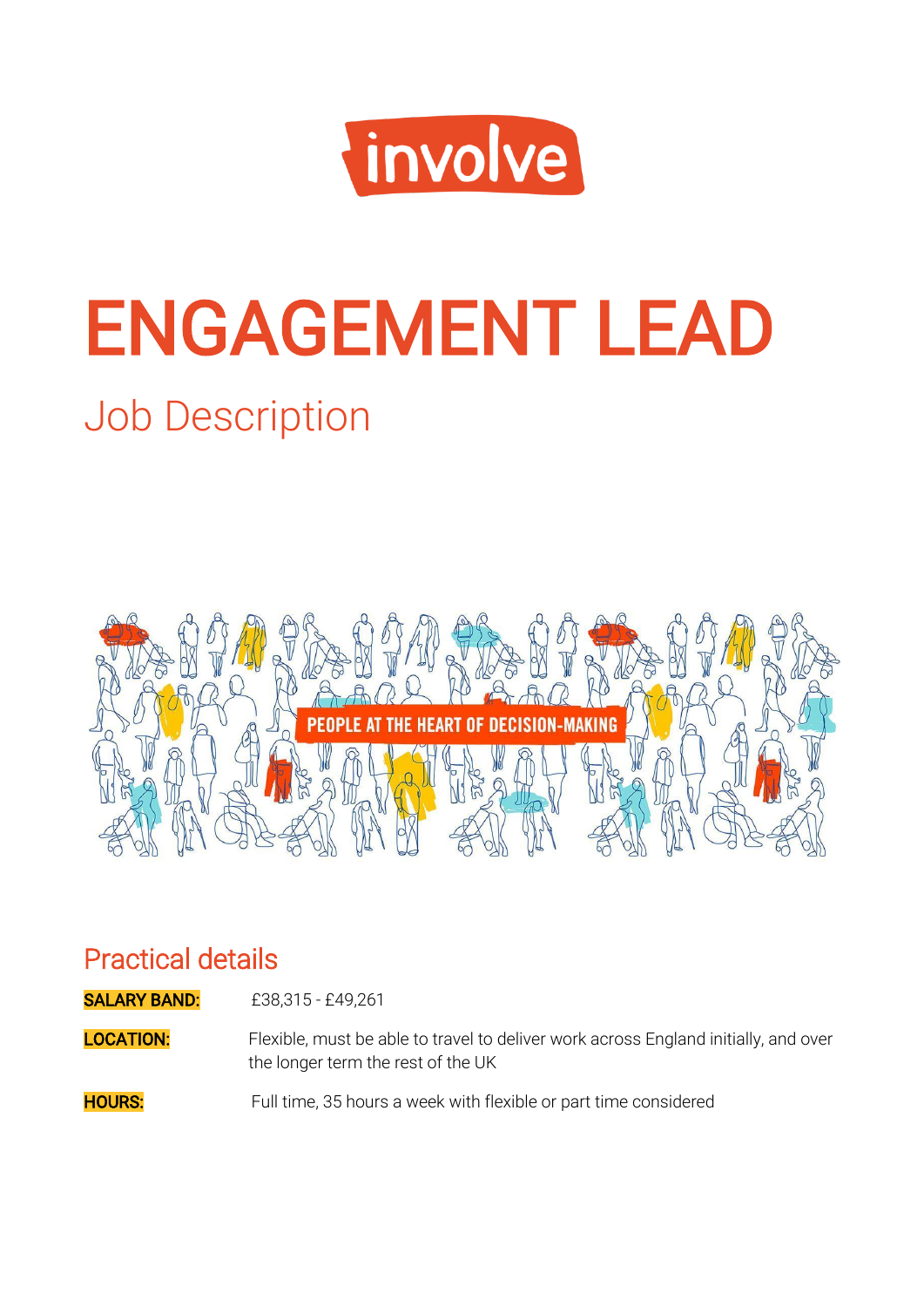

# ENGAGEMENT LEAD

# Job Description



#### Practical details

**SALARY BAND:** £38,315 - £49,261

**LOCATION:** Flexible, must be able to travel to deliver work across England initially, and over the longer term the rest of the UK

**HOURS:** Full time, 35 hours a week with flexible or part time considered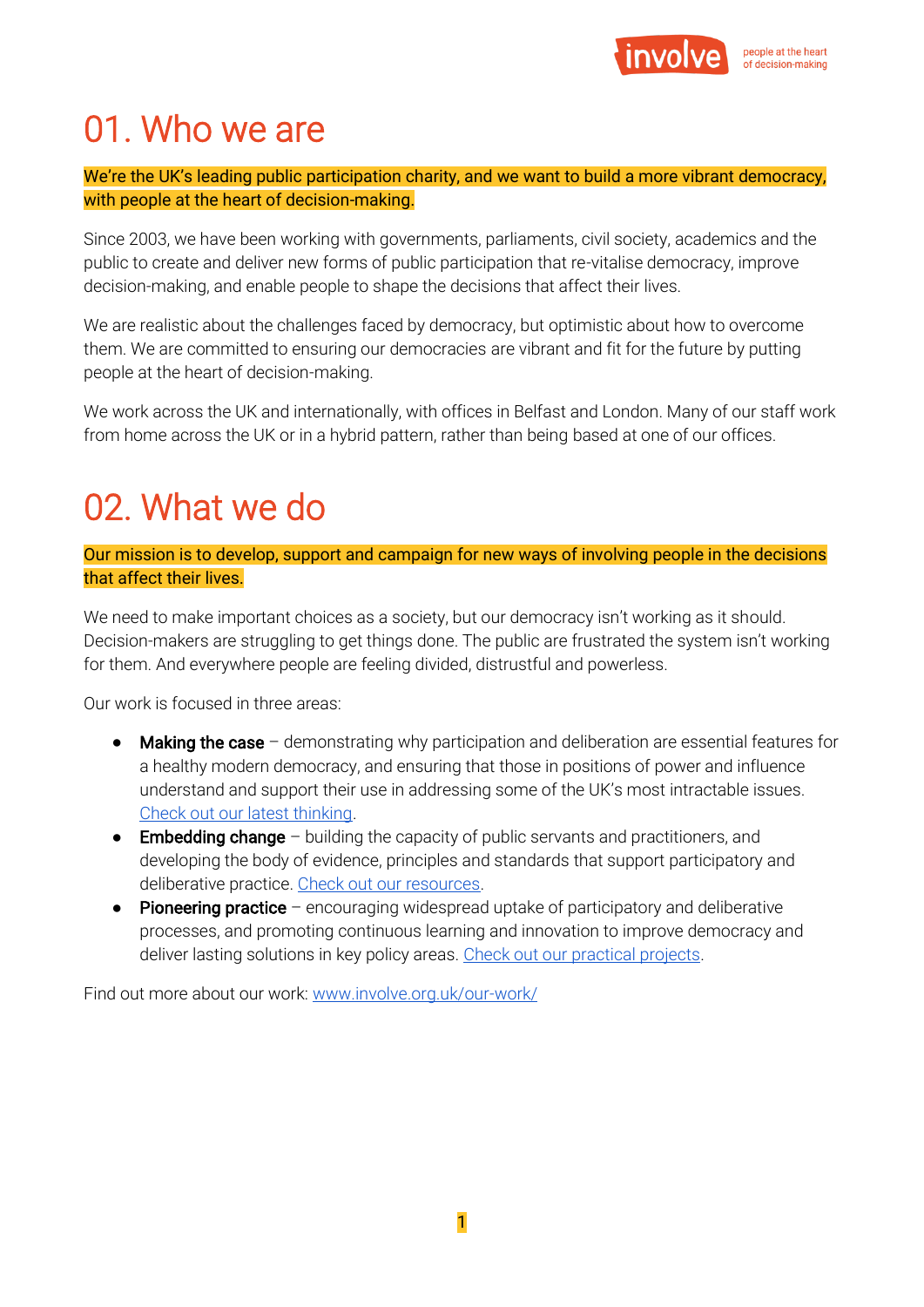

## 01. Who we are

We're the UK's leading public participation charity, and we want to build a more vibrant democracy, with people at the heart of decision-making.

Since 2003, we have been working with governments, parliaments, civil society, academics and the public to create and deliver new forms of public participation that re-vitalise democracy, improve decision-making, and enable people to shape the decisions that affect their lives.

We are realistic about the challenges faced by democracy, but optimistic about how to overcome them. We are committed to ensuring our democracies are vibrant and fit for the future by putting people at the heart of decision-making.

We work across the UK and internationally, with offices in Belfast and London. Many of our staff work from home across the UK or in a hybrid pattern, rather than being based at one of our offices.

# 02. What we do

Our mission is to develop, support and campaign for new ways of involving people in the decisions that affect their lives.

We need to make important choices as a society, but our democracy isn't working as it should. Decision-makers are struggling to get things done. The public are frustrated the system isn't working for them. And everywhere people are feeling divided, distrustful and powerless.

Our work is focused in three areas:

- Making the case demonstrating why participation and deliberation are essential features for a healthy modern democracy, and ensuring that those in positions of power and influence understand and support their use in addressing some of the UK's most intractable issues. [Check out our latest thinking.](https://www.involve.org.uk/resources/blog)
- **Embedding change** building the capacity of public servants and practitioners, and developing the body of evidence, principles and standards that support participatory and deliberative practice. [Check out our resources.](https://www.involve.org.uk/resources)
- Pioneering practice encouraging widespread uptake of participatory and deliberative processes, and promoting continuous learning and innovation to improve democracy and deliver lasting solutions in key policy areas. [Check out our practical projects.](https://www.involve.org.uk/our-work/our-projects)

Find out more about our work: [www.involve.org.uk/our-work/](http://www.involve.org.uk/our-work/)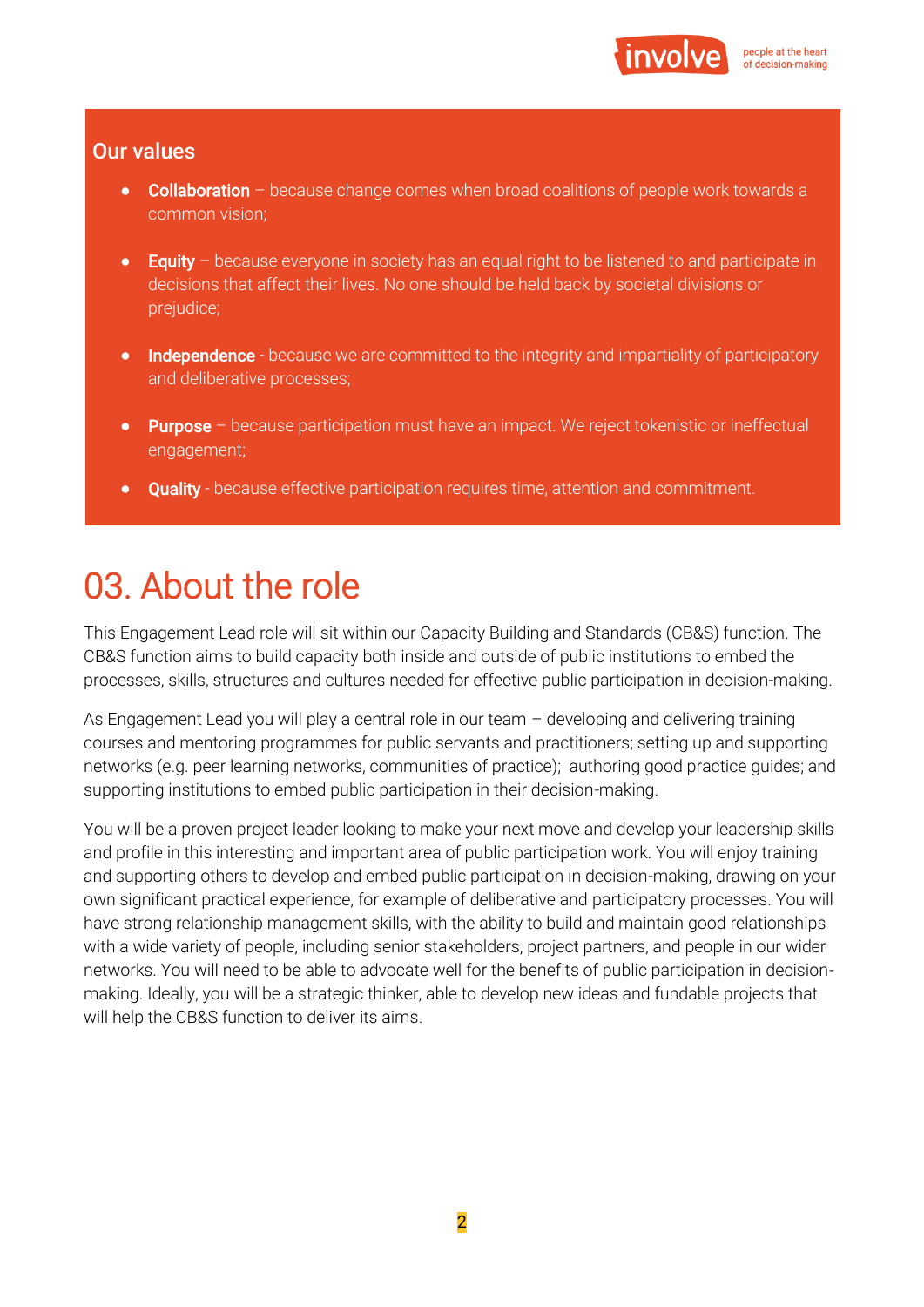

#### Our values

- Collaboration because change comes when broad coalitions of people work towards a common vision;
- Equity because everyone in society has an equal right to be listened to and participate in decisions that affect their lives. No one should be held back by societal divisions or prejudice;
- **Independence** because we are committed to the integrity and impartiality of participatory and deliberative processes;
- Purpose because participation must have an impact. We reject tokenistic or ineffectual engagement;
- Quality because effective participation requires time, attention and commitment.

### 03. About the role

This Engagement Lead role will sit within our Capacity Building and Standards (CB&S) function. The CB&S function aims to build capacity both inside and outside of public institutions to embed the processes, skills, structures and cultures needed for effective public participation in decision-making.

As Engagement Lead you will play a central role in our team – developing and delivering training courses and mentoring programmes for public servants and practitioners; setting up and supporting networks (e.g. peer learning networks, communities of practice); authoring good practice guides; and supporting institutions to embed public participation in their decision-making.

You will be a proven project leader looking to make your next move and develop your leadership skills and profile in this interesting and important area of public participation work. You will enjoy training and supporting others to develop and embed public participation in decision-making, drawing on your own significant practical experience, for example of deliberative and participatory processes. You will have strong relationship management skills, with the ability to build and maintain good relationships with a wide variety of people, including senior stakeholders, project partners, and people in our wider networks. You will need to be able to advocate well for the benefits of public participation in decisionmaking. Ideally, you will be a strategic thinker, able to develop new ideas and fundable projects that will help the CB&S function to deliver its aims.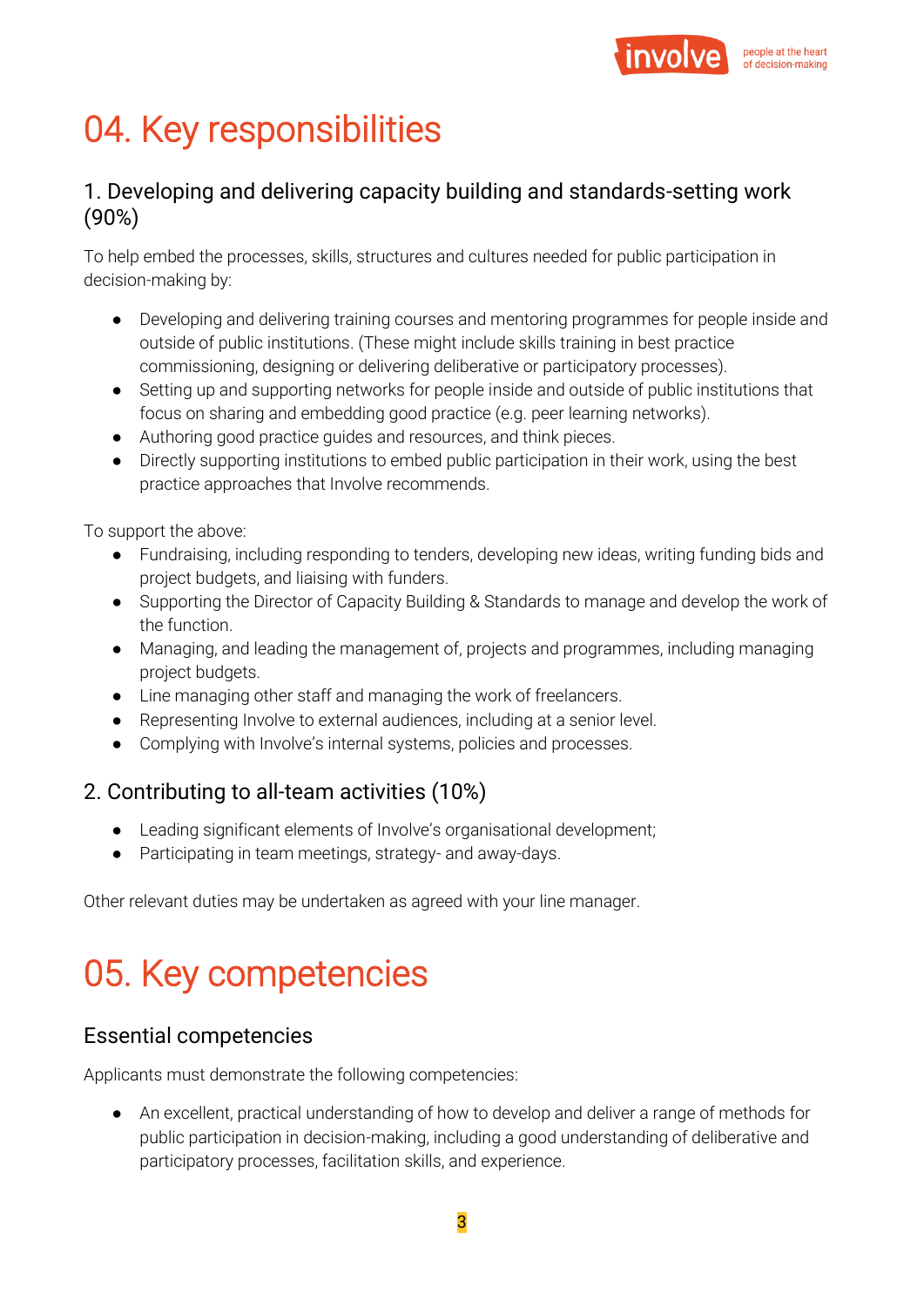

# 04. Key responsibilities

#### 1. Developing and delivering capacity building and standards-setting work (90%)

To help embed the processes, skills, structures and cultures needed for public participation in decision-making by:

- Developing and delivering training courses and mentoring programmes for people inside and outside of public institutions. (These might include skills training in best practice commissioning, designing or delivering deliberative or participatory processes).
- Setting up and supporting networks for people inside and outside of public institutions that focus on sharing and embedding good practice (e.g. peer learning networks).
- Authoring good practice guides and resources, and think pieces.
- Directly supporting institutions to embed public participation in their work, using the best practice approaches that Involve recommends.

To support the above:

- Fundraising, including responding to tenders, developing new ideas, writing funding bids and project budgets, and liaising with funders.
- Supporting the Director of Capacity Building & Standards to manage and develop the work of the function.
- Managing, and leading the management of, projects and programmes, including managing project budgets.
- Line managing other staff and managing the work of freelancers.
- Representing Involve to external audiences, including at a senior level.
- Complying with Involve's internal systems, policies and processes.

#### 2. Contributing to all-team activities (10%)

- Leading significant elements of Involve's organisational development;
- Participating in team meetings, strategy- and away-days.

Other relevant duties may be undertaken as agreed with your line manager.

# 05. Key competencies

#### Essential competencies

Applicants must demonstrate the following competencies:

● An excellent, practical understanding of how to develop and deliver a range of methods for public participation in decision-making, including a good understanding of deliberative and participatory processes, facilitation skills, and experience.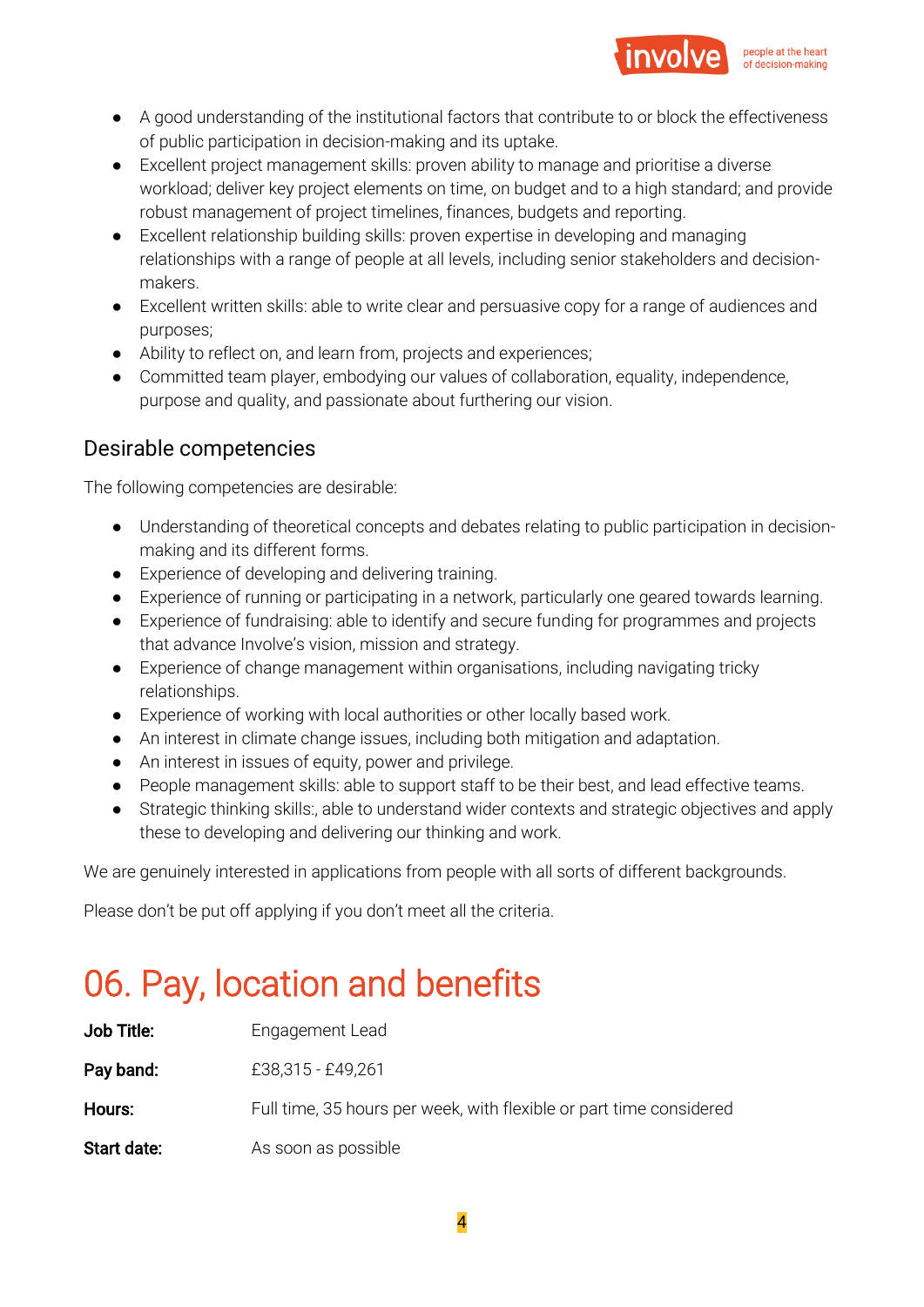

- A good understanding of the institutional factors that contribute to or block the effectiveness of public participation in decision-making and its uptake.
- Excellent project management skills: proven ability to manage and prioritise a diverse workload; deliver key project elements on time, on budget and to a high standard; and provide robust management of project timelines, finances, budgets and reporting.
- Excellent relationship building skills: proven expertise in developing and managing relationships with a range of people at all levels, including senior stakeholders and decisionmakers.
- Excellent written skills: able to write clear and persuasive copy for a range of audiences and purposes;
- Ability to reflect on, and learn from, projects and experiences;
- Committed team player, embodying our values of collaboration, equality, independence, purpose and quality, and passionate about furthering our vision.

#### Desirable competencies

The following competencies are desirable:

- Understanding of theoretical concepts and debates relating to public participation in decisionmaking and its different forms.
- Experience of developing and delivering training.
- Experience of running or participating in a network, particularly one geared towards learning.
- Experience of fundraising: able to identify and secure funding for programmes and projects that advance Involve's vision, mission and strategy.
- Experience of change management within organisations, including navigating tricky relationships.
- Experience of working with local authorities or other locally based work.
- An interest in climate change issues, including both mitigation and adaptation.
- An interest in issues of equity, power and privilege.
- People management skills: able to support staff to be their best, and lead effective teams.
- Strategic thinking skills:, able to understand wider contexts and strategic objectives and apply these to developing and delivering our thinking and work.

We are genuinely interested in applications from people with all sorts of different backgrounds.

Please don't be put off applying if you don't meet all the criteria.

# 06. Pay, location and benefits

| Job Title:  | Engagement Lead                                                     |
|-------------|---------------------------------------------------------------------|
| Pay band:   | £38,315 - £49,261                                                   |
| Hours:      | Full time, 35 hours per week, with flexible or part time considered |
| Start date: | As soon as possible                                                 |